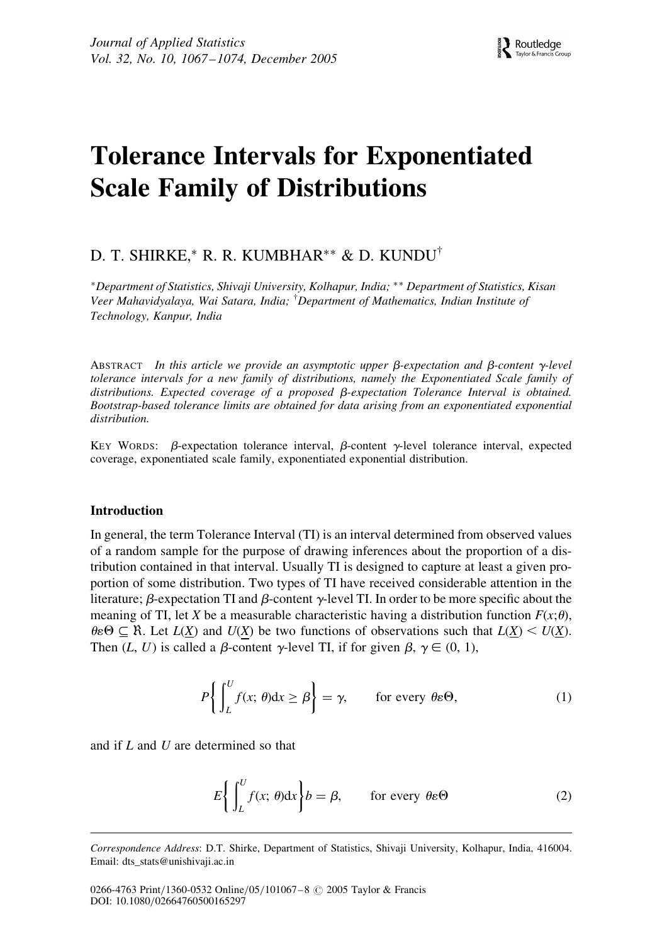# Tolerance Intervals for Exponentiated Scale Family of Distributions

# D. T. SHIRKE,\* R. R. KUMBHAR\*\* & D. KUNDU<sup>†</sup>

Department of Statistics, Shivaji University, Kolhapur, India; Department of Statistics, Kisan Veer Mahavidyalaya, Wai Satara, India; † Department of Mathematics, Indian Institute of Technology, Kanpur, India

ABSTRACT In this article we provide an asymptotic upper  $\beta$ -expectation and  $\beta$ -content  $\gamma$ -level tolerance intervals for a new family of distributions, namely the Exponentiated Scale family of distributions. Expected coverage of a proposed  $\beta$ -expectation Tolerance Interval is obtained. Bootstrap-based tolerance limits are obtained for data arising from an exponentiated exponential distribution.

KEY WORDS:  $\beta$ -expectation tolerance interval,  $\beta$ -content  $\gamma$ -level tolerance interval, expected coverage, exponentiated scale family, exponentiated exponential distribution.

# Introduction

In general, the term Tolerance Interval (TI) is an interval determined from observed values of a random sample for the purpose of drawing inferences about the proportion of a distribution contained in that interval. Usually TI is designed to capture at least a given proportion of some distribution. Two types of TI have received considerable attention in the literature;  $\beta$ -expectation TI and  $\beta$ -content  $\gamma$ -level TI. In order to be more specific about the meaning of TI, let X be a measurable characteristic having a distribution function  $F(x;\theta)$ ,  $\theta \in \Theta \subseteq \mathbb{R}$ . Let  $L(X)$  and  $U(X)$  be two functions of observations such that  $L(X) \leq U(X)$ . Then  $(L, U)$  is called a  $\beta$ -content  $\gamma$ -level TI, if for given  $\beta$ ,  $\gamma \in (0, 1)$ ,

$$
P\left\{\int_{L}^{U} f(x;\,\theta)\mathrm{d}x \geq \beta\right\} = \gamma, \qquad \text{for every } \theta \varepsilon \Theta,\tag{1}
$$

and if L and U are determined so that

$$
E\left\{\int_{L}^{U} f(x;\,\theta) \mathrm{d}x\right\} b = \beta, \qquad \text{for every } \theta \in \Theta \tag{2}
$$

Correspondence Address: D.T. Shirke, Department of Statistics, Shivaji University, Kolhapur, India, 416004. Email: dts\_stats@unishivaji.ac.in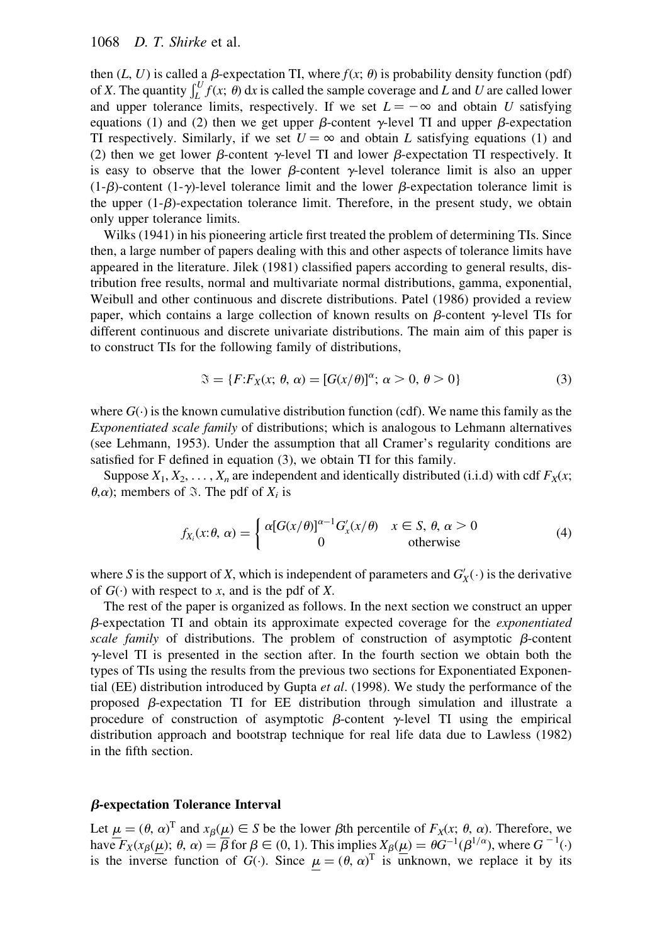# 1068 D. T. Shirke et al.

then  $(L, U)$  is called a  $\beta$ -expectation TI, where  $f(x; \theta)$  is probability density function (pdf) of X. The quantity  $\int_{L}^{U} f(x; \theta) dx$  is called the sample coverage and L and U are called lower and upper tolerance limits, respectively. If we set  $L = -\infty$  and obtain U satisfying equations (1) and (2) then we get upper  $\beta$ -content  $\gamma$ -level TI and upper  $\beta$ -expectation TI respectively. Similarly, if we set  $U = \infty$  and obtain L satisfying equations (1) and (2) then we get lower  $\beta$ -content  $\gamma$ -level TI and lower  $\beta$ -expectation TI respectively. It is easy to observe that the lower  $\beta$ -content  $\gamma$ -level tolerance limit is also an upper  $(1-\beta)$ -content  $(1-\gamma)$ -level tolerance limit and the lower  $\beta$ -expectation tolerance limit is the upper  $(1-\beta)$ -expectation tolerance limit. Therefore, in the present study, we obtain only upper tolerance limits.

Wilks (1941) in his pioneering article first treated the problem of determining TIs. Since then, a large number of papers dealing with this and other aspects of tolerance limits have appeared in the literature. Jilek (1981) classified papers according to general results, distribution free results, normal and multivariate normal distributions, gamma, exponential, Weibull and other continuous and discrete distributions. Patel (1986) provided a review paper, which contains a large collection of known results on  $\beta$ -content  $\gamma$ -level TIs for different continuous and discrete univariate distributions. The main aim of this paper is to construct TIs for the following family of distributions,

$$
\mathfrak{F} = \{ F:F_X(x; \theta, \alpha) = [G(x/\theta)]^{\alpha}; \alpha > 0, \theta > 0 \}
$$
\n
$$
(3)
$$

where  $G(\cdot)$  is the known cumulative distribution function (cdf). We name this family as the Exponentiated scale family of distributions; which is analogous to Lehmann alternatives (see Lehmann, 1953). Under the assumption that all Cramer's regularity conditions are satisfied for F defined in equation (3), we obtain TI for this family.

Suppose  $X_1, X_2, \ldots, X_n$  are independent and identically distributed (i.i.d) with cdf  $F_X(x;$  $\theta$ , $\alpha$ ); members of  $\Im$ . The pdf of  $X_i$  is

$$
f_{X_i}(x; \theta, \alpha) = \begin{cases} \alpha [G(x/\theta)]^{\alpha - 1} G'_x(x/\theta) & x \in S, \theta, \alpha > 0 \\ 0 & \text{otherwise} \end{cases}
$$
(4)

where S is the support of X, which is independent of parameters and  $G'_X(\cdot)$  is the derivative of  $G(\cdot)$  with respect to x, and is the pdf of X.

The rest of the paper is organized as follows. In the next section we construct an upper  $\beta$ -expectation TI and obtain its approximate expected coverage for the *exponentiated* scale family of distributions. The problem of construction of asymptotic  $\beta$ -content  $\gamma$ -level TI is presented in the section after. In the fourth section we obtain both the types of TIs using the results from the previous two sections for Exponentiated Exponential (EE) distribution introduced by Gupta *et al.* (1998). We study the performance of the proposed  $\beta$ -expectation TI for EE distribution through simulation and illustrate a procedure of construction of asymptotic  $\beta$ -content  $\gamma$ -level TI using the empirical distribution approach and bootstrap technique for real life data due to Lawless (1982) in the fifth section.

# b-expectation Tolerance Interval

Let  $\mu = (\theta, \alpha)^T$  and  $x_\beta(\mu) \in S$  be the lower  $\beta$ th percentile of  $F_x(x; \theta, \alpha)$ . Therefore, we have  $F_X(x_\beta(\mu); \theta, \alpha) = \overline{\beta}$  for  $\beta \in (0, 1)$ . This implies  $X_\beta(\mu) = \theta G^{-1}(\beta^{1/\alpha})$ , where  $G^{-1}(\cdot)$ is the inverse function of  $G(\cdot)$ . Since  $\mu = (\theta, \alpha)^T$  is unknown, we replace it by its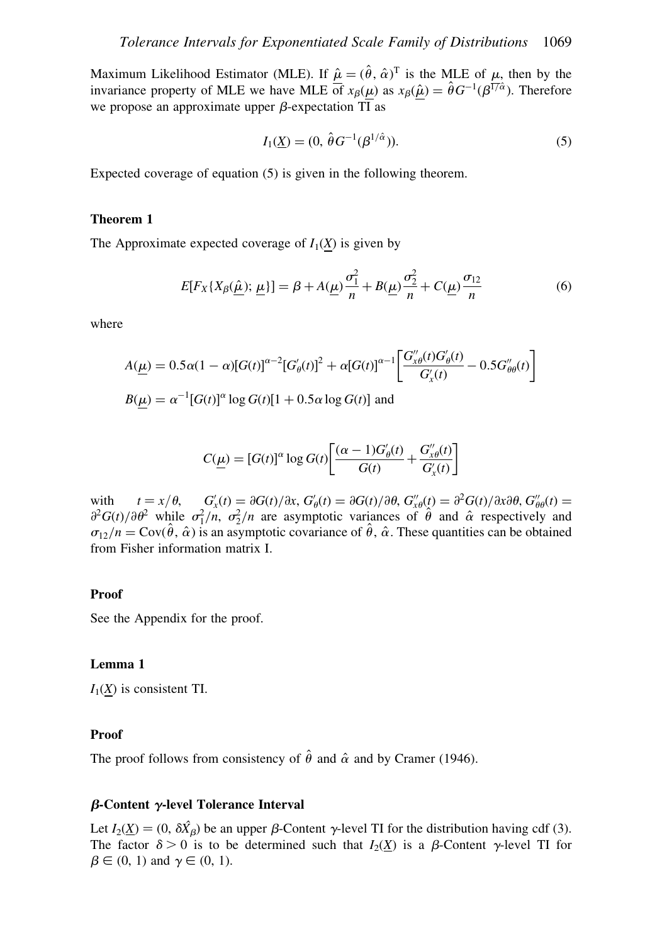Maximum Likelihood Estimator (MLE). If  $\hat{\mu} = (\hat{\theta}, \hat{\alpha})^T$  is the MLE of  $\mu$ , then by the invariance property of MLE we have MLE of  $x_\beta(\mu)$  as  $x_\beta(\hat{\mu}) = \hat{\theta}G^{-1}(\beta^{1/\hat{\alpha}})$ . Therefore we propose an approximate upper  $\beta$ -expectation TI as

$$
I_1(\underline{X}) = (0, \,\hat{\theta}G^{-1}(\beta^{1/\hat{\alpha}})).
$$
\n(5)

Expected coverage of equation (5) is given in the following theorem.

# Theorem 1

The Approximate expected coverage of  $I_1(X)$  is given by

$$
E[F_X\{X_\beta(\underline{\hat{\mu}});\underline{\mu}\}]=\beta + A(\underline{\mu})\frac{\sigma_1^2}{n} + B(\underline{\mu})\frac{\sigma_2^2}{n} + C(\underline{\mu})\frac{\sigma_{12}}{n}
$$
(6)

where

$$
A(\underline{\mu}) = 0.5\alpha(1-\alpha)[G(t)]^{\alpha-2}[G'_{\theta}(t)]^2 + \alpha[G(t)]^{\alpha-1} \left[ \frac{G''_{x\theta}(t)G'_{\theta}(t)}{G'_{x}(t)} - 0.5G''_{\theta\theta}(t) \right]
$$
  

$$
B(\mu) = \alpha^{-1}[G(t)]^{\alpha} \log G(t)[1 + 0.5\alpha \log G(t)]
$$
 and

$$
C(\underline{\mu}) = [G(t)]^{\alpha} \log G(t) \left[ \frac{(\alpha - 1)G_{\theta}'(t)}{G(t)} + \frac{G_{x\theta}''(t)}{G_{x}'(t)} \right]
$$

with  $t = x/\theta$ ,  $G'_x(t) = \partial G(t)/\partial x$ ,  $G'_\theta(t) = \partial G(t)/\partial \theta$ ,  $G''_{x\theta}(t) = \partial^2 G(t)/\partial x \partial \theta$ ,  $G''_{\theta\theta}(t) =$  $\frac{\partial^2 G(t)}{\partial \theta^2}$  while  $\sigma_1^2/n$ ,  $\sigma_2^2/n$  are asymptotic variances of  $\hat{\theta}$  and  $\hat{\alpha}$  respectively and  $\sigma_{12}/n = \text{Cov}(\hat{\theta}, \hat{\alpha})$  is an asymptotic covariance of  $\hat{\theta}$ ,  $\hat{\alpha}$ . These quantities can be obtained from Fisher information matrix I.

#### Proof

See the Appendix for the proof.

## Lemma 1

 $I_1(X)$  is consistent TI.

# Proof

The proof follows from consistency of  $\hat{\theta}$  and  $\hat{\alpha}$  and by Cramer (1946).

# $\beta$ -Content  $\gamma$ -level Tolerance Interval

Let  $I_2(\underline{X}) = (0, \delta \hat{X}_{\beta})$  be an upper  $\beta$ -Content  $\gamma$ -level TI for the distribution having cdf (3). The factor  $\delta > 0$  is to be determined such that  $I_2(\underline{X})$  is a  $\beta$ -Content  $\gamma$ -level TI for  $\beta \in (0, 1)$  and  $\gamma \in (0, 1)$ .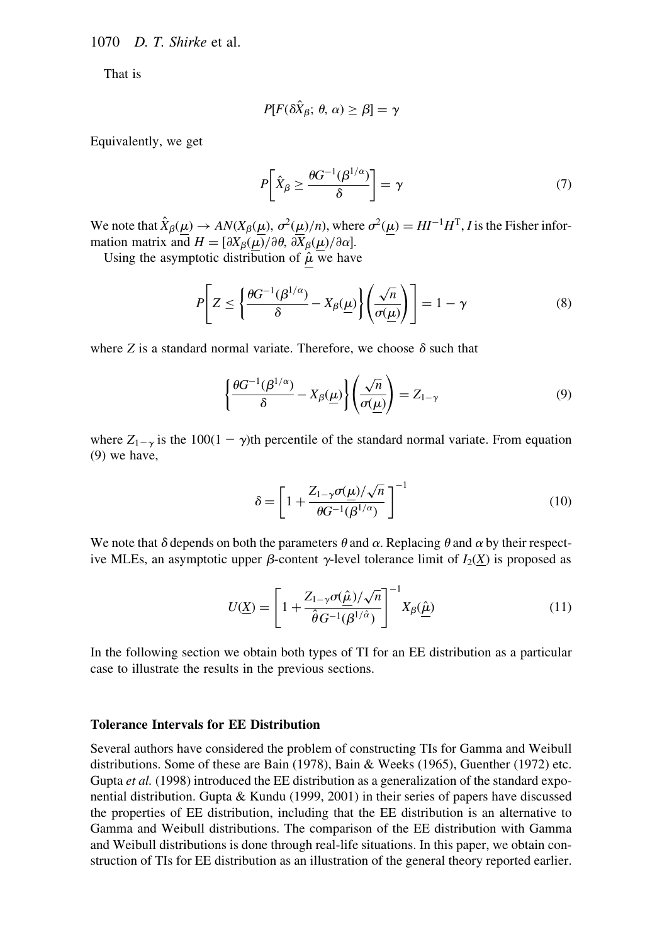1070 D. T. Shirke et al.

That is

$$
P[F(\delta\hat{X}_{\beta};\,\theta,\,\alpha)\geq\beta]=\gamma
$$

Equivalently, we get

$$
P\left[\hat{X}_{\beta} \ge \frac{\theta G^{-1}(\beta^{1/\alpha})}{\delta}\right] = \gamma \tag{7}
$$

We note that  $\hat{X}_{\beta}(\mu) \to AN(X_{\beta}(\mu), \sigma^2(\mu)/n)$ , where  $\sigma^2(\mu) = HI^{-1}H^{T}$ , I is the Fisher information matrix and  $H = [\partial X_{\beta}(\mu)/\partial \theta, \partial X_{\beta}(\mu)/\partial \alpha]$ .

Using the asymptotic distribution of  $\hat{\mu}$  we have

$$
P\left[Z \le \left\{\frac{\theta G^{-1}(\beta^{1/\alpha})}{\delta} - X_{\beta}(\underline{\mu})\right\} \left(\frac{\sqrt{n}}{\sigma(\underline{\mu})}\right)\right] = 1 - \gamma
$$
\n(8)

where Z is a standard normal variate. Therefore, we choose  $\delta$  such that

$$
\left\{\frac{\theta G^{-1}(\beta^{1/\alpha})}{\delta} - X_{\beta}(\underline{\mu})\right\} \left(\frac{\sqrt{n}}{\sigma(\underline{\mu})}\right) = Z_{1-\gamma}
$$
\n(9)

where  $Z_{1-\gamma}$  is the 100(1 -  $\gamma$ )th percentile of the standard normal variate. From equation (9) we have,

$$
\delta = \left[1 + \frac{Z_{1-\gamma}\sigma(\underline{\mu})/\sqrt{n}}{\theta G^{-1}(\beta^{1/\alpha})}\right]^{-1} \tag{10}
$$

We note that  $\delta$  depends on both the parameters  $\theta$  and  $\alpha$ . Replacing  $\theta$  and  $\alpha$  by their respective MLEs, an asymptotic upper  $\beta$ -content  $\gamma$ -level tolerance limit of  $I_2(\underline{X})$  is proposed as

$$
U(\underline{X}) = \left[1 + \frac{Z_{1-\gamma}\sigma(\hat{\underline{\mu}})/\sqrt{n}}{\hat{\theta}G^{-1}(\beta^{1/\hat{\alpha}})}\right]^{-1} X_{\beta}(\hat{\underline{\mu}})
$$
(11)

In the following section we obtain both types of TI for an EE distribution as a particular case to illustrate the results in the previous sections.

## Tolerance Intervals for EE Distribution

Several authors have considered the problem of constructing TIs for Gamma and Weibull distributions. Some of these are Bain (1978), Bain & Weeks (1965), Guenther (1972) etc. Gupta et al. (1998) introduced the EE distribution as a generalization of the standard exponential distribution. Gupta & Kundu (1999, 2001) in their series of papers have discussed the properties of EE distribution, including that the EE distribution is an alternative to Gamma and Weibull distributions. The comparison of the EE distribution with Gamma and Weibull distributions is done through real-life situations. In this paper, we obtain construction of TIs for EE distribution as an illustration of the general theory reported earlier.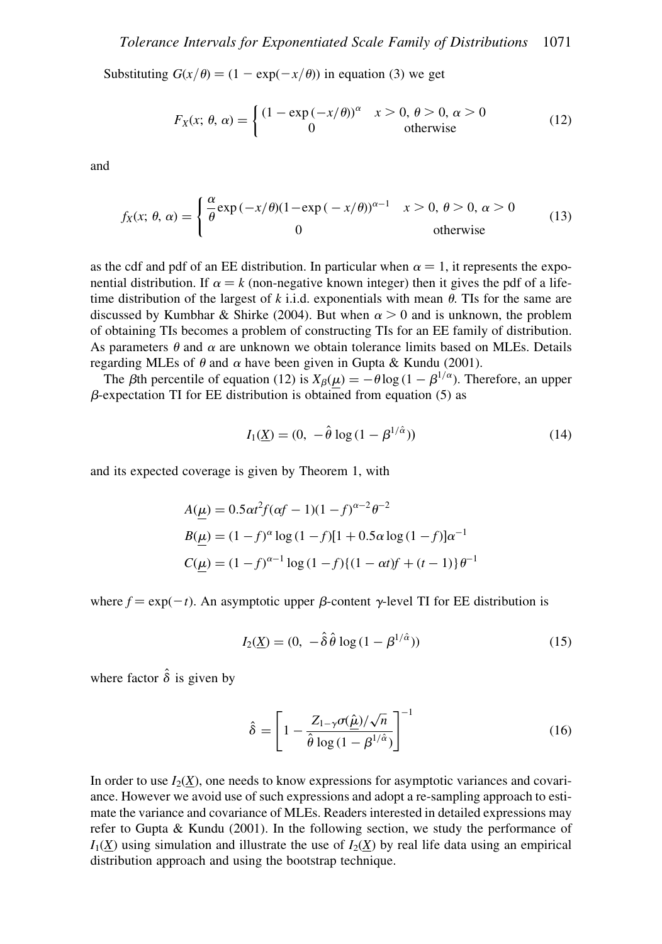Substituting  $G(x/\theta) = (1 - \exp(-x/\theta))$  in equation (3) we get

$$
F_X(x; \theta, \alpha) = \begin{cases} (1 - \exp(-x/\theta))^{\alpha} & x > 0, \theta > 0, \alpha > 0 \\ 0 & \text{otherwise} \end{cases}
$$
(12)

and

$$
f_X(x; \theta, \alpha) = \begin{cases} \frac{\alpha}{\theta} \exp(-x/\theta)(1 - \exp(-x/\theta))^{\alpha - 1} & x > 0, \theta > 0, \alpha > 0 \\ 0 & \text{otherwise} \end{cases}
$$
(13)

as the cdf and pdf of an EE distribution. In particular when  $\alpha = 1$ , it represents the exponential distribution. If  $\alpha = k$  (non-negative known integer) then it gives the pdf of a lifetime distribution of the largest of k i.i.d. exponentials with mean  $\theta$ . The for the same are discussed by Kumbhar & Shirke (2004). But when  $\alpha > 0$  and is unknown, the problem of obtaining TIs becomes a problem of constructing TIs for an EE family of distribution. As parameters  $\theta$  and  $\alpha$  are unknown we obtain tolerance limits based on MLEs. Details regarding MLEs of  $\theta$  and  $\alpha$  have been given in Gupta & Kundu (2001).

The *β*th percentile of equation (12) is  $X_\beta(\mu) = -\theta \log (1 - \beta^{1/\alpha})$ . Therefore, an upper  $\beta$ -expectation TI for EE distribution is obtained from equation (5) as

$$
I_1(\underline{X}) = (0, -\hat{\theta} \log(1 - \beta^{1/\hat{\alpha}}))
$$
\n(14)

and its expected coverage is given by Theorem 1, with

$$
A(\underline{\mu}) = 0.5\alpha t^2 f(\alpha f - 1)(1 - f)^{\alpha - 2} \theta^{-2}
$$
  
\n
$$
B(\underline{\mu}) = (1 - f)^{\alpha} \log(1 - f)[1 + 0.5\alpha \log(1 - f)]\alpha^{-1}
$$
  
\n
$$
C(\underline{\mu}) = (1 - f)^{\alpha - 1} \log(1 - f)\{(1 - \alpha t)f + (t - 1)\} \theta^{-1}
$$

where  $f = \exp(-t)$ . An asymptotic upper  $\beta$ -content  $\gamma$ -level TI for EE distribution is

$$
I_2(\underline{X}) = (0, -\hat{\delta}\,\hat{\theta}\,\log(1-\beta^{1/\hat{\alpha}}))\tag{15}
$$

where factor  $\hat{\delta}$  is given by

$$
\hat{\delta} = \left[1 - \frac{Z_{1-\gamma}\sigma(\hat{\mu})/\sqrt{n}}{\hat{\theta}\log(1-\beta^{1/\hat{\alpha}})}\right]^{-1} \tag{16}
$$

In order to use  $I_2(X)$ , one needs to know expressions for asymptotic variances and covariance. However we avoid use of such expressions and adopt a re-sampling approach to estimate the variance and covariance of MLEs. Readers interested in detailed expressions may refer to Gupta & Kundu (2001). In the following section, we study the performance of  $I_1(X)$  using simulation and illustrate the use of  $I_2(X)$  by real life data using an empirical distribution approach and using the bootstrap technique.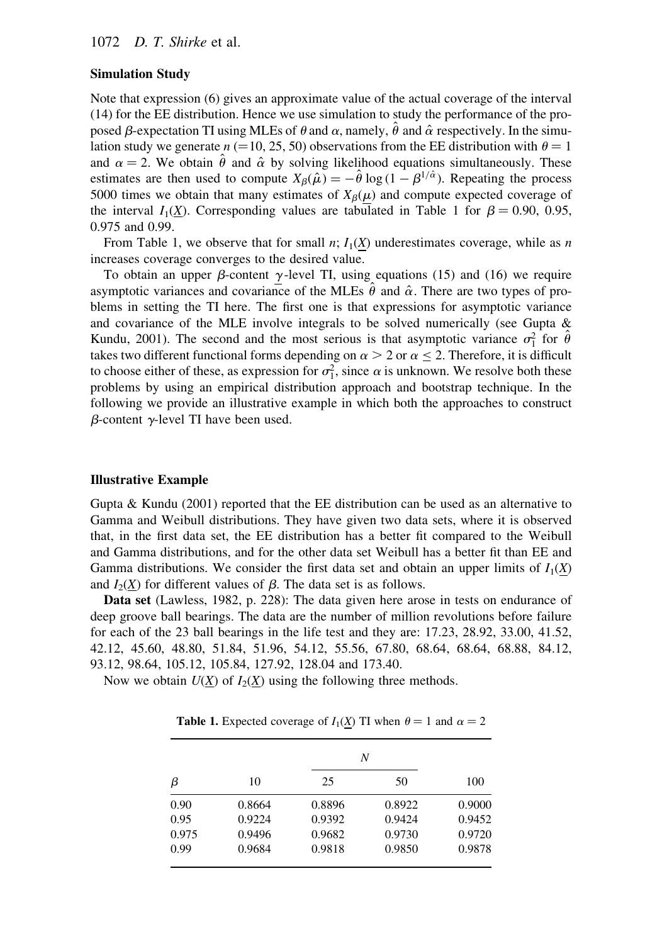## Simulation Study

Note that expression (6) gives an approximate value of the actual coverage of the interval (14) for the EE distribution. Hence we use simulation to study the performance of the proposed  $\beta$ -expectation TI using MLEs of  $\theta$  and  $\alpha$ , namely,  $\hat{\theta}$  and  $\hat{\alpha}$  respectively. In the simulation study we generate  $n (=10, 25, 50)$  observations from the EE distribution with  $\theta = 1$ and  $\alpha = 2$ . We obtain  $\hat{\theta}$  and  $\hat{\alpha}$  by solving likelihood equations simultaneously. These estimates are then used to compute  $X_\beta(\hat{\mu}) = -\hat{\theta} \log (1 - \beta^{1/\hat{\alpha}})$ . Repeating the process 5000 times we obtain that many estimates of  $X_\beta(\mu)$  and compute expected coverage of the interval  $I_1(\underline{X})$ . Corresponding values are tabulated in Table 1 for  $\beta = 0.90, 0.95$ , 0.975 and 0.99.

From Table 1, we observe that for small n;  $I_1(X)$  underestimates coverage, while as n increases coverage converges to the desired value.

To obtain an upper  $\beta$ -content  $\gamma$ -level TI, using equations (15) and (16) we require asymptotic variances and covariance of the MLEs  $\theta$  and  $\hat{\alpha}$ . There are two types of problems in setting the TI here. The first one is that expressions for asymptotic variance and covariance of the MLE involve integrals to be solved numerically (see Gupta  $\&$ Kundu, 2001). The second and the most serious is that asymptotic variance  $\sigma_1^2$  for  $\hat{\theta}$ takes two different functional forms depending on  $\alpha > 2$  or  $\alpha \le 2$ . Therefore, it is difficult to choose either of these, as expression for  $\sigma_1^2$ , since  $\alpha$  is unknown. We resolve both these problems by using an empirical distribution approach and bootstrap technique. In the following we provide an illustrative example in which both the approaches to construct  $\beta$ -content  $\gamma$ -level TI have been used.

#### Illustrative Example

Gupta & Kundu  $(2001)$  reported that the EE distribution can be used as an alternative to Gamma and Weibull distributions. They have given two data sets, where it is observed that, in the first data set, the EE distribution has a better fit compared to the Weibull and Gamma distributions, and for the other data set Weibull has a better fit than EE and Gamma distributions. We consider the first data set and obtain an upper limits of  $I_1(X)$ and  $I_2(\underline{X})$  for different values of  $\beta$ . The data set is as follows.

Data set (Lawless, 1982, p. 228): The data given here arose in tests on endurance of deep groove ball bearings. The data are the number of million revolutions before failure for each of the 23 ball bearings in the life test and they are: 17.23, 28.92, 33.00, 41.52, 42.12, 45.60, 48.80, 51.84, 51.96, 54.12, 55.56, 67.80, 68.64, 68.64, 68.88, 84.12, 93.12, 98.64, 105.12, 105.84, 127.92, 128.04 and 173.40.

Now we obtain  $U(\underline{X})$  of  $I_2(\underline{X})$  using the following three methods.

| β     |        | N      |        |        |
|-------|--------|--------|--------|--------|
|       | 10     | 25     | 50     | 100    |
| 0.90  | 0.8664 | 0.8896 | 0.8922 | 0.9000 |
| 0.95  | 0.9224 | 0.9392 | 0.9424 | 0.9452 |
| 0.975 | 0.9496 | 0.9682 | 0.9730 | 0.9720 |
| 0.99  | 0.9684 | 0.9818 | 0.9850 | 0.9878 |

**Table 1.** Expected coverage of  $I_1(X)$  TI when  $\theta = 1$  and  $\alpha = 2$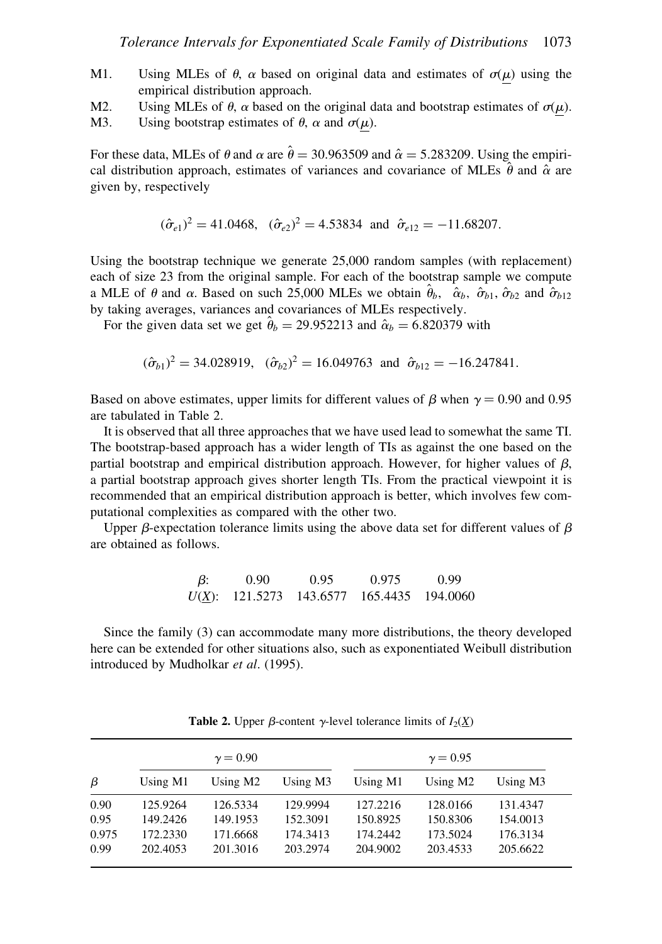- M1. Using MLEs of  $\theta$ ,  $\alpha$  based on original data and estimates of  $\sigma(\mu)$  using the empirical distribution approach.
- M2. Using MLEs of  $\theta$ ,  $\alpha$  based on the original data and bootstrap estimates of  $\sigma(\mu)$ .
- M3. Using bootstrap estimates of  $\theta$ ,  $\alpha$  and  $\sigma(\mu)$ .

For these data, MLEs of  $\theta$  and  $\alpha$  are  $\hat{\theta} = 30.963509$  and  $\hat{\alpha} = 5.283209$ . Using the empirical distribution approach, estimates of variances and covariance of MLEs  $\hat{\theta}$  and  $\hat{\alpha}$  are given by, respectively

 $(\hat{\sigma}_{e1})^2 = 41.0468$ ,  $(\hat{\sigma}_{e2})^2 = 4.53834$  and  $\hat{\sigma}_{e12} = -11.68207$ .

Using the bootstrap technique we generate 25,000 random samples (with replacement) each of size 23 from the original sample. For each of the bootstrap sample we compute a MLE of  $\theta$  and  $\alpha$ . Based on such 25,000 MLEs we obtain  $\hat{\theta}_b$ ,  $\hat{\alpha}_b$ ,  $\hat{\alpha}_{b_1}$ ,  $\hat{\sigma}_{b_2}$  and  $\hat{\sigma}_{b_12}$ by taking averages, variances and covariances of MLEs respectively.

For the given data set we get  $\hat{\theta}_b = 29.952213$  and  $\hat{\alpha}_b = 6.820379$  with

$$
(\hat{\sigma}_{b1})^2 = 34.028919
$$
,  $(\hat{\sigma}_{b2})^2 = 16.049763$  and  $\hat{\sigma}_{b12} = -16.247841$ .

Based on above estimates, upper limits for different values of  $\beta$  when  $\gamma = 0.90$  and 0.95 are tabulated in Table 2.

It is observed that all three approaches that we have used lead to somewhat the same TI. The bootstrap-based approach has a wider length of TIs as against the one based on the partial bootstrap and empirical distribution approach. However, for higher values of  $\beta$ , a partial bootstrap approach gives shorter length TIs. From the practical viewpoint it is recommended that an empirical distribution approach is better, which involves few computational complexities as compared with the other two.

Upper  $\beta$ -expectation tolerance limits using the above data set for different values of  $\beta$ are obtained as follows.

$$
\beta: \qquad 0.90 \qquad \qquad 0.95 \qquad \qquad 0.975 \qquad \qquad 0.99
$$
  

$$
U(\underline{X}): \qquad 121.5273 \qquad 143.6577 \qquad 165.4435 \qquad 194.0060
$$

Since the family (3) can accommodate many more distributions, the theory developed here can be extended for other situations also, such as exponentiated Weibull distribution introduced by Mudholkar et al. (1995).

|       | $\gamma = 0.90$ |          |          | $\gamma = 0.95$ |                      |          |
|-------|-----------------|----------|----------|-----------------|----------------------|----------|
| β     | Using M1        | Using M2 | Using M3 | Using M1        | Using M <sub>2</sub> | Using M3 |
| 0.90  | 125.9264        | 126.5334 | 129.9994 | 127.2216        | 128,0166             | 131.4347 |
| 0.95  | 149.2426        | 149.1953 | 152.3091 | 150.8925        | 150.8306             | 154.0013 |
| 0.975 | 172.2330        | 171.6668 | 174.3413 | 174.2442        | 173.5024             | 176.3134 |
| 0.99  | 202.4053        | 201.3016 | 203.2974 | 204.9002        | 203.4533             | 205.6622 |

**Table 2.** Upper  $\beta$ -content  $\gamma$ -level tolerance limits of  $I_2(X)$